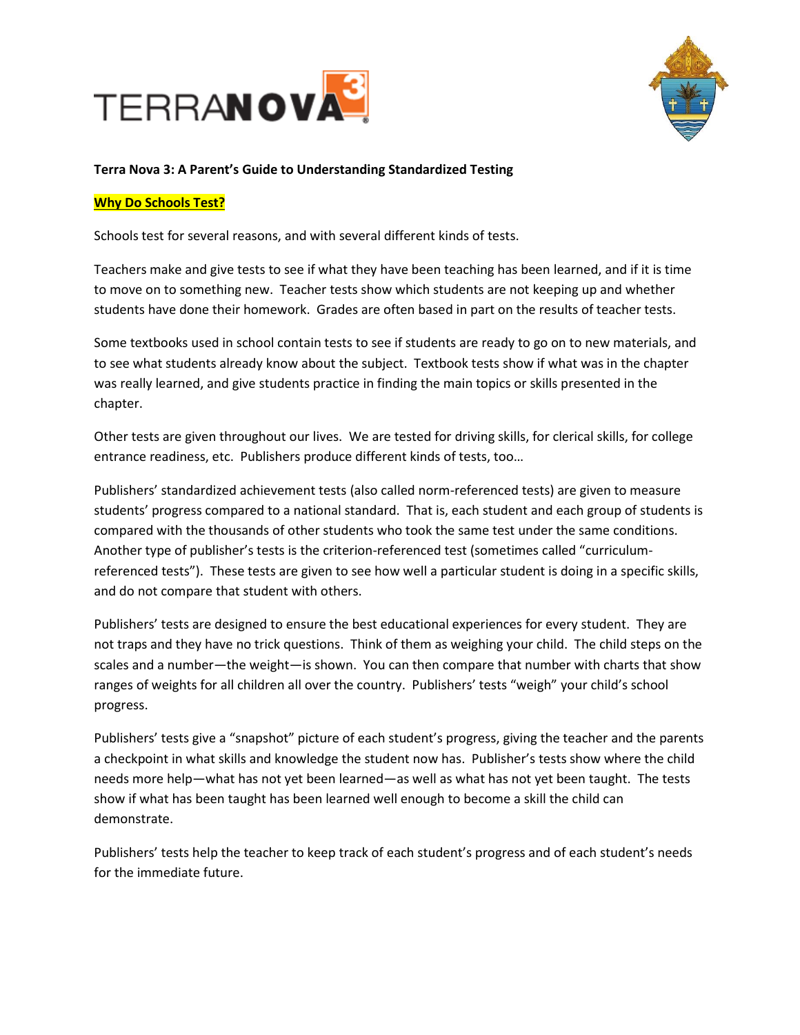



# **Terra Nova 3: A Parent's Guide to Understanding Standardized Testing**

## **Why Do Schools Test?**

Schools test for several reasons, and with several different kinds of tests.

Teachers make and give tests to see if what they have been teaching has been learned, and if it is time to move on to something new. Teacher tests show which students are not keeping up and whether students have done their homework. Grades are often based in part on the results of teacher tests.

Some textbooks used in school contain tests to see if students are ready to go on to new materials, and to see what students already know about the subject. Textbook tests show if what was in the chapter was really learned, and give students practice in finding the main topics or skills presented in the chapter.

Other tests are given throughout our lives. We are tested for driving skills, for clerical skills, for college entrance readiness, etc. Publishers produce different kinds of tests, too…

Publishers' standardized achievement tests (also called norm-referenced tests) are given to measure students' progress compared to a national standard. That is, each student and each group of students is compared with the thousands of other students who took the same test under the same conditions. Another type of publisher's tests is the criterion-referenced test (sometimes called "curriculumreferenced tests"). These tests are given to see how well a particular student is doing in a specific skills, and do not compare that student with others.

Publishers' tests are designed to ensure the best educational experiences for every student. They are not traps and they have no trick questions. Think of them as weighing your child. The child steps on the scales and a number—the weight—is shown. You can then compare that number with charts that show ranges of weights for all children all over the country. Publishers' tests "weigh" your child's school progress.

Publishers' tests give a "snapshot" picture of each student's progress, giving the teacher and the parents a checkpoint in what skills and knowledge the student now has. Publisher's tests show where the child needs more help—what has not yet been learned—as well as what has not yet been taught. The tests show if what has been taught has been learned well enough to become a skill the child can demonstrate.

Publishers' tests help the teacher to keep track of each student's progress and of each student's needs for the immediate future.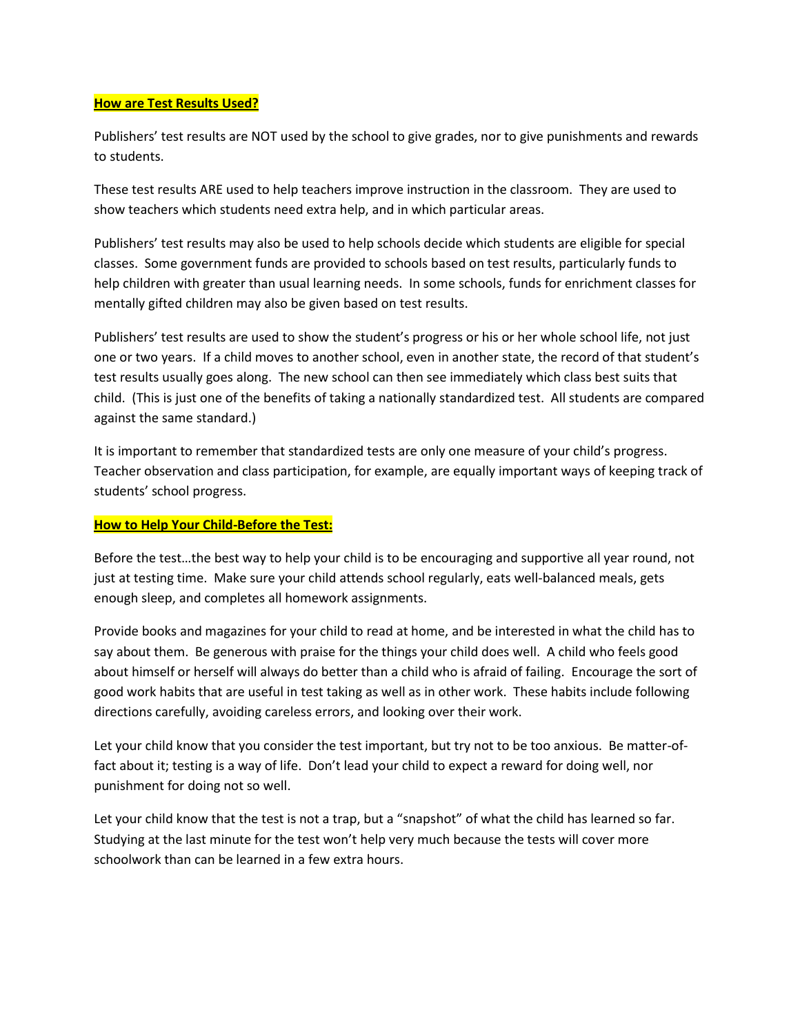#### **How are Test Results Used?**

Publishers' test results are NOT used by the school to give grades, nor to give punishments and rewards to students.

These test results ARE used to help teachers improve instruction in the classroom. They are used to show teachers which students need extra help, and in which particular areas.

Publishers' test results may also be used to help schools decide which students are eligible for special classes. Some government funds are provided to schools based on test results, particularly funds to help children with greater than usual learning needs. In some schools, funds for enrichment classes for mentally gifted children may also be given based on test results.

Publishers' test results are used to show the student's progress or his or her whole school life, not just one or two years. If a child moves to another school, even in another state, the record of that student's test results usually goes along. The new school can then see immediately which class best suits that child. (This is just one of the benefits of taking a nationally standardized test. All students are compared against the same standard.)

It is important to remember that standardized tests are only one measure of your child's progress. Teacher observation and class participation, for example, are equally important ways of keeping track of students' school progress.

## **How to Help Your Child-Before the Test:**

Before the test…the best way to help your child is to be encouraging and supportive all year round, not just at testing time. Make sure your child attends school regularly, eats well-balanced meals, gets enough sleep, and completes all homework assignments.

Provide books and magazines for your child to read at home, and be interested in what the child has to say about them. Be generous with praise for the things your child does well. A child who feels good about himself or herself will always do better than a child who is afraid of failing. Encourage the sort of good work habits that are useful in test taking as well as in other work. These habits include following directions carefully, avoiding careless errors, and looking over their work.

Let your child know that you consider the test important, but try not to be too anxious. Be matter-offact about it; testing is a way of life. Don't lead your child to expect a reward for doing well, nor punishment for doing not so well.

Let your child know that the test is not a trap, but a "snapshot" of what the child has learned so far. Studying at the last minute for the test won't help very much because the tests will cover more schoolwork than can be learned in a few extra hours.